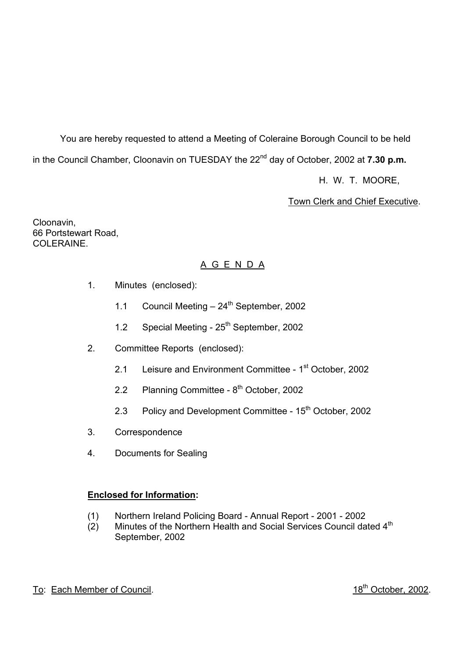You are hereby requested to attend a Meeting of Coleraine Borough Council to be held in the Council Chamber, Cloonavin on TUESDAY the 22<sup>nd</sup> day of October, 2002 at **7.30 p.m.** 

H. W. T. MOORE,

**Town Clerk and Chief Executive.** 

Cloonavin, 66 Portstewart Road, COLERAINE.

# A G E N D A

- 1. Minutes (enclosed):
	- 1.1 Council Meeting  $-24^{th}$  September, 2002
	- 1.2 Special Meeting 25<sup>th</sup> September, 2002
- 2. Committee Reports (enclosed):
	- 2.1 Leisure and Environment Committee 1<sup>st</sup> October, 2002
	- 2.2 Planning Committee  $8<sup>th</sup>$  October, 2002
	- 2.3 Policy and Development Committee 15<sup>th</sup> October, 2002
- 3. Correspondence
- 4. Documents for Sealing

## **Enclosed for Information:**

- (1) Northern Ireland Policing Board Annual Report 2001 2002
- (2) Minutes of the Northern Health and Social Services Council dated 4<sup>th</sup> September, 2002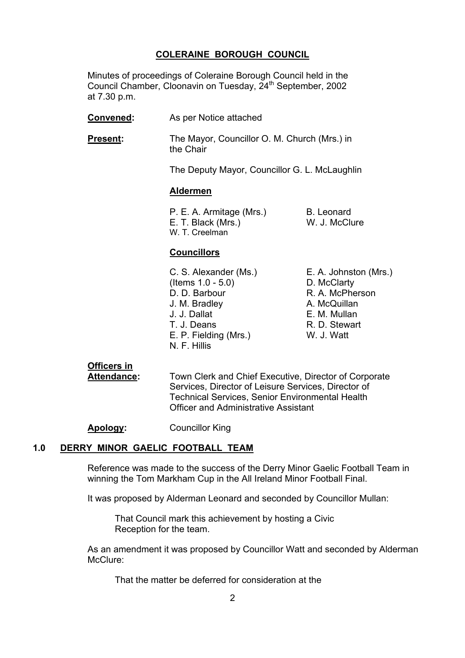#### **COLERAINE BOROUGH COUNCIL**

 Minutes of proceedings of Coleraine Borough Council held in the Council Chamber, Cloonavin on Tuesday, 24<sup>th</sup> September, 2002 at 7.30 p.m.

 **Convened:** As per Notice attached **Present:** The Mayor, Councillor O. M. Church (Mrs.) in the Chair The Deputy Mayor, Councillor G. L. McLaughlin **Aldermen** P. E. A. Armitage (Mrs.) B. Leonard E. T. Black (Mrs.) W. J. McClure W. T. Creelman

#### **Councillors**

- C. S. Alexander (Ms.) E. A. Johnston (Mrs.) (Items 1.0 - 5.0) D. McClarty D. D. Barbour R. A. McPherson J. M. Bradley **A. McQuillan**  J. J. Dallat E. M. Mullan T. J. Deans R. D. Stewart E. P. Fielding (Mrs.) W. J. Watt N. F. Hillis
- 

## **Officers in**

 **Attendance:** Town Clerk and Chief Executive, Director of Corporate Services, Director of Leisure Services, Director of Technical Services, Senior Environmental Health Officer and Administrative Assistant

**Apology:** Councillor King

#### **1.0 DERRY MINOR GAELIC FOOTBALL TEAM**

 Reference was made to the success of the Derry Minor Gaelic Football Team in winning the Tom Markham Cup in the All Ireland Minor Football Final.

It was proposed by Alderman Leonard and seconded by Councillor Mullan:

 That Council mark this achievement by hosting a Civic Reception for the team.

 As an amendment it was proposed by Councillor Watt and seconded by Alderman McClure:

That the matter be deferred for consideration at the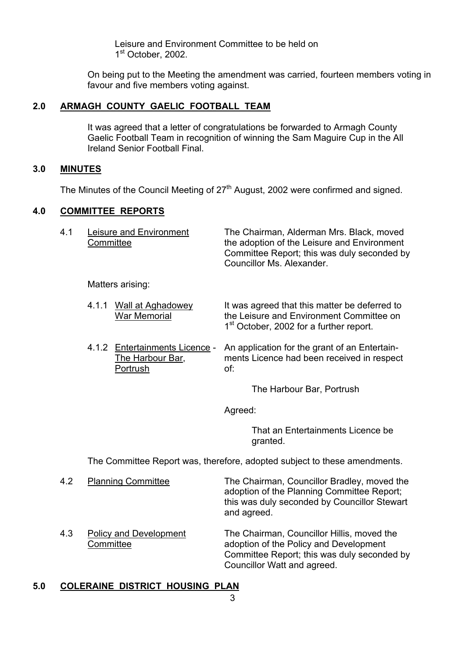Leisure and Environment Committee to be held on 1<sup>st</sup> October, 2002.

On being put to the Meeting the amendment was carried, fourteen members voting in favour and five members voting against.

## **2.0 ARMAGH COUNTY GAELIC FOOTBALL TEAM**

It was agreed that a letter of congratulations be forwarded to Armagh County Gaelic Football Team in recognition of winning the Sam Maguire Cup in the All Ireland Senior Football Final.

#### **3.0 MINUTES**

The Minutes of the Council Meeting of  $27<sup>th</sup>$  August, 2002 were confirmed and signed.

#### **4.0 COMMITTEE REPORTS**

| 41 | Leisure and Environment<br>Committee | The Chairman, Alderman Mrs. Black, moved<br>the adoption of the Leisure and Environment<br>Committee Report; this was duly seconded by<br>Councillor Ms. Alexander. |
|----|--------------------------------------|---------------------------------------------------------------------------------------------------------------------------------------------------------------------|
|    |                                      |                                                                                                                                                                     |

Matters arising:

- 4.1.1 Wall at Aghadowey It was agreed that this matter be deferred to War Memorial *the Leisure and Environment Committee on* 1<sup>st</sup> October, 2002 for a further report.
- 4.1.2 Entertainments Licence An application for the grant of an Entertain- The Harbour Bar, ments Licence had been received in respect Portrush of:

The Harbour Bar, Portrush

Agreed:

 That an Entertainments Licence be granted.

The Committee Report was, therefore, adopted subject to these amendments.

- 4.2 Planning Committee The Chairman, Councillor Bradley, moved the adoption of the Planning Committee Report; this was duly seconded by Councillor Stewart and agreed.
- 4.3 Policy and Development The Chairman, Councillor Hillis, moved the Committee and adoption of the Policy and Development Committee Report; this was duly seconded by Councillor Watt and agreed.

## **5.0 COLERAINE DISTRICT HOUSING PLAN**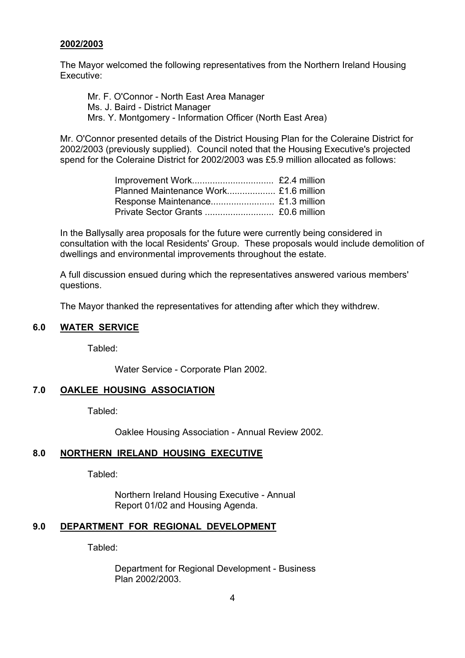#### **2002/2003**

 The Mayor welcomed the following representatives from the Northern Ireland Housing Executive:

 Mr. F. O'Connor - North East Area Manager Ms. J. Baird - District Manager Mrs. Y. Montgomery - Information Officer (North East Area)

Mr. O'Connor presented details of the District Housing Plan for the Coleraine District for 2002/2003 (previously supplied). Council noted that the Housing Executive's projected spend for the Coleraine District for 2002/2003 was £5.9 million allocated as follows:

In the Ballysally area proposals for the future were currently being considered in consultation with the local Residents' Group. These proposals would include demolition of dwellings and environmental improvements throughout the estate.

A full discussion ensued during which the representatives answered various members' questions.

The Mayor thanked the representatives for attending after which they withdrew.

#### **6.0 WATER SERVICE**

Tabled:

Water Service - Corporate Plan 2002.

#### **7.0 OAKLEE HOUSING ASSOCIATION**

Tabled:

Oaklee Housing Association - Annual Review 2002.

#### **8.0 NORTHERN IRELAND HOUSING EXECUTIVE**

Tabled:

 Northern Ireland Housing Executive - Annual Report 01/02 and Housing Agenda.

# **9.0 DEPARTMENT FOR REGIONAL DEVELOPMENT**

Tabled:

 Department for Regional Development - Business Plan 2002/2003.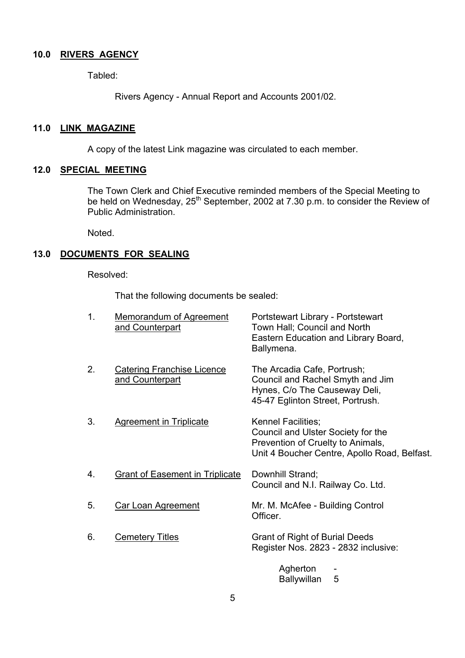#### **10.0 RIVERS AGENCY**

Tabled:

Rivers Agency - Annual Report and Accounts 2001/02.

#### **11.0 LINK MAGAZINE**

A copy of the latest Link magazine was circulated to each member.

#### **12.0 SPECIAL MEETING**

 The Town Clerk and Chief Executive reminded members of the Special Meeting to be held on Wednesday, 25<sup>th</sup> September, 2002 at 7.30 p.m. to consider the Review of Public Administration.

Noted.

# **13.0 DOCUMENTS FOR SEALING**

Resolved:

That the following documents be sealed:

| $\mathbf 1$ . | <b>Memorandum of Agreement</b><br>and Counterpart    | Portstewart Library - Portstewart<br>Town Hall; Council and North<br>Eastern Education and Library Board,<br>Ballymena.                       |
|---------------|------------------------------------------------------|-----------------------------------------------------------------------------------------------------------------------------------------------|
| 2.            | <b>Catering Franchise Licence</b><br>and Counterpart | The Arcadia Cafe, Portrush;<br>Council and Rachel Smyth and Jim<br>Hynes, C/o The Causeway Deli,<br>45-47 Eglinton Street, Portrush.          |
| 3.            | <b>Agreement in Triplicate</b>                       | Kennel Facilities;<br>Council and Ulster Society for the<br>Prevention of Cruelty to Animals,<br>Unit 4 Boucher Centre, Apollo Road, Belfast. |
| 4.            | <b>Grant of Easement in Triplicate</b>               | Downhill Strand;<br>Council and N.I. Railway Co. Ltd.                                                                                         |
| 5.            | <b>Car Loan Agreement</b>                            | Mr. M. McAfee - Building Control<br>Officer.                                                                                                  |
| 6.            | <b>Cemetery Titles</b>                               | Grant of Right of Burial Deeds<br>Register Nos. 2823 - 2832 inclusive:                                                                        |
|               |                                                      | Agherton                                                                                                                                      |

Ballywillan 5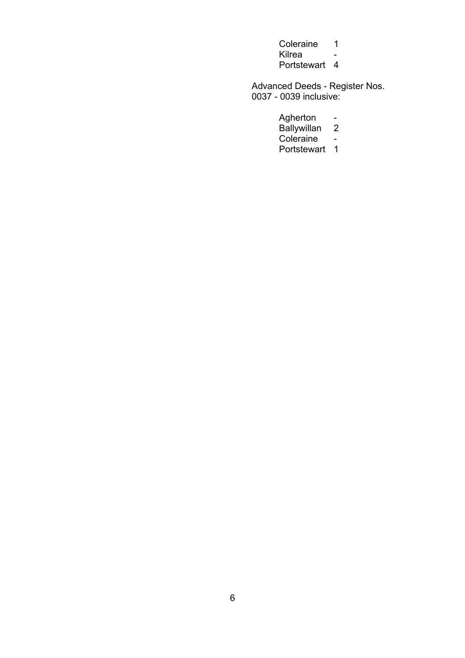- Coleraine 1 Kilrea -
- Portstewart 4

 Advanced Deeds - Register Nos. 0037 - 0039 inclusive:

- Agherton -
- Ballywillan 2
- **Coleraine Coleraine Coleraine Coleraine** 
	- Portstewart 1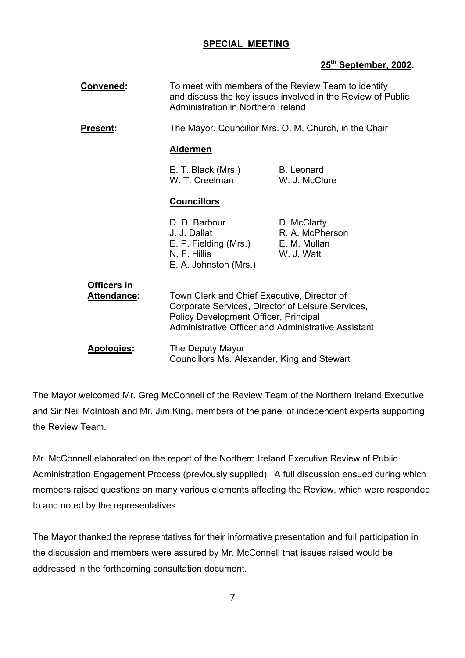## **SPECIAL MEETING**

# **25th September, 2002.**

| Convened:                                | To meet with members of the Review Team to identify<br>and discuss the key issues involved in the Review of Public<br>Administration in Northern Ireland                                         |                                                              |
|------------------------------------------|--------------------------------------------------------------------------------------------------------------------------------------------------------------------------------------------------|--------------------------------------------------------------|
| <b>Present:</b>                          |                                                                                                                                                                                                  | The Mayor, Councillor Mrs. O. M. Church, in the Chair        |
|                                          | <b>Aldermen</b>                                                                                                                                                                                  |                                                              |
|                                          | E. T. Black (Mrs.)<br>W. T. Creelman                                                                                                                                                             | <b>B.</b> Leonard<br>W. J. McClure                           |
|                                          | <b>Councillors</b>                                                                                                                                                                               |                                                              |
|                                          | D. D. Barbour<br>J. J. Dallat<br>E. P. Fielding (Mrs.)<br>N. F. Hillis<br>E. A. Johnston (Mrs.)                                                                                                  | D. McClarty<br>R. A. McPherson<br>E. M. Mullan<br>W. J. Watt |
| <b>Officers in</b><br><b>Attendance:</b> | Town Clerk and Chief Executive, Director of<br>Corporate Services, Director of Leisure Services,<br>Policy Development Officer, Principal<br>Administrative Officer and Administrative Assistant |                                                              |
| Apologies:                               | The Deputy Mayor<br>Councillors Ms. Alexander, King and Stewart                                                                                                                                  |                                                              |

The Mayor welcomed Mr. Greg McConnell of the Review Team of the Northern Ireland Executive and Sir Neil McIntosh and Mr. Jim King, members of the panel of independent experts supporting the Review Team.

Mr. McConnell elaborated on the report of the Northern Ireland Executive Review of Public Administration Engagement Process (previously supplied). A full discussion ensued during which members raised questions on many various elements affecting the Review, which were responded to and noted by the representatives.

The Mayor thanked the representatives for their informative presentation and full participation in the discussion and members were assured by Mr. McConnell that issues raised would be addressed in the forthcoming consultation document.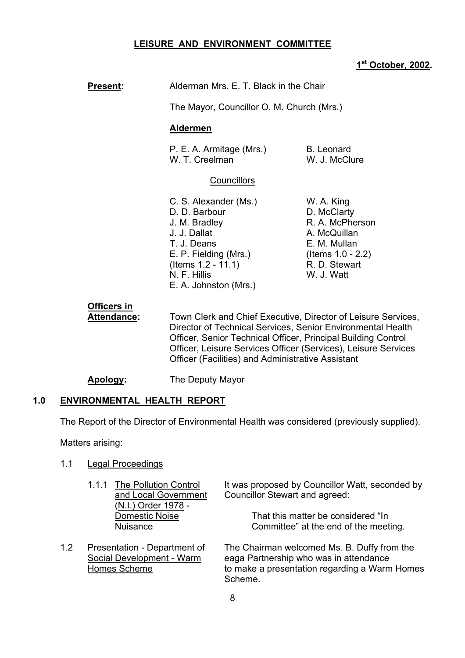#### **LEISURE AND ENVIRONMENT COMMITTEE**

#### **1st October, 2002.**

| <b>Present:</b> | Alderman Mrs. E. T. Black in the Chair                                                                                                                                            |                                                                                                                                  |
|-----------------|-----------------------------------------------------------------------------------------------------------------------------------------------------------------------------------|----------------------------------------------------------------------------------------------------------------------------------|
|                 | The Mayor, Councillor O. M. Church (Mrs.)                                                                                                                                         |                                                                                                                                  |
|                 | Aldermen                                                                                                                                                                          |                                                                                                                                  |
|                 | P. E. A. Armitage (Mrs.)<br>W. T. Creelman                                                                                                                                        | <b>B.</b> Leonard<br>W. J. McClure                                                                                               |
|                 | <b>Councillors</b>                                                                                                                                                                |                                                                                                                                  |
|                 | C. S. Alexander (Ms.)<br>D. D. Barbour<br>J. M. Bradley<br>J. J. Dallat<br>T. J. Deans<br>E. P. Fielding (Mrs.)<br>(Items $1.2 - 11.1$ )<br>N. F. Hillis<br>E. A. Johnston (Mrs.) | W. A. King<br>D. McClarty<br>R. A. McPherson<br>A. McQuillan<br>E. M. Mullan<br>(Items 1.0 - 2.2)<br>R. D. Stewart<br>W. J. Watt |
| Officers in     | $\mathbf{T}$ . The contribution of $\mathbf{C}$ and $\mathbf{C}$ is the contribution of $\mathbf{C}$ . The contribution of $\mathbf{C}$                                           |                                                                                                                                  |

 **Attendance:** Town Clerk and Chief Executive, Director of Leisure Services, Director of Technical Services, Senior Environmental Health Officer, Senior Technical Officer, Principal Building Control Officer, Leisure Services Officer (Services), Leisure Services Officer (Facilities) and Administrative Assistant

**Apology:** The Deputy Mayor

#### **1.0 ENVIRONMENTAL HEALTH REPORT**

The Report of the Director of Environmental Health was considered (previously supplied).

Matters arising:

- 1.1 Legal Proceedings
	- (N.I.) Order 1978 -
- 

1.1.1 The Pollution Control It was proposed by Councillor Watt, seconded by and Local Government Councillor Stewart and agreed:

Domestic Noise That this matter be considered "In Nuisance **Committee**" at the end of the meeting.

1.2 Presentation - Department of The Chairman welcomed Ms. B. Duffy from the Social Development - Warm eaga Partnership who was in attendance Homes Scheme to make a presentation regarding a Warm Homes Scheme.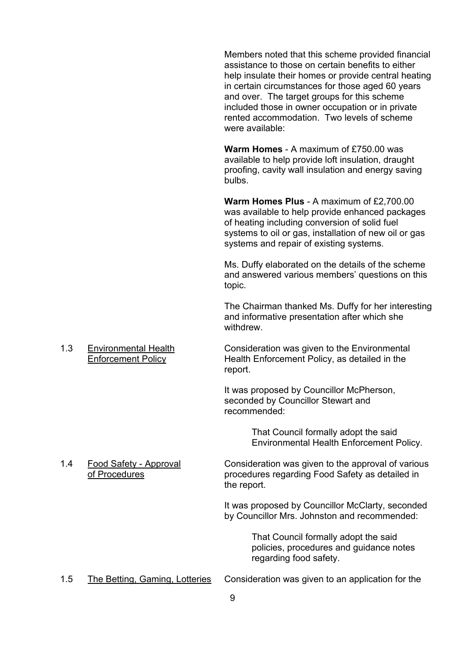Members noted that this scheme provided financial assistance to those on certain benefits to either help insulate their homes or provide central heating in certain circumstances for those aged 60 years and over. The target groups for this scheme included those in owner occupation or in private rented accommodation. Two levels of scheme were available:

**Warm Homes** - A maximum of £750.00 was available to help provide loft insulation, draught proofing, cavity wall insulation and energy saving bulbs.

**Warm Homes Plus** - A maximum of £2,700.00 was available to help provide enhanced packages of heating including conversion of solid fuel systems to oil or gas, installation of new oil or gas systems and repair of existing systems.

Ms. Duffy elaborated on the details of the scheme and answered various members' questions on this topic.

The Chairman thanked Ms. Duffy for her interesting and informative presentation after which she withdrew.

 1.3 Environmental Health Consideration was given to the Environmental Enforcement Policy Health Enforcement Policy, as detailed in the report.

> It was proposed by Councillor McPherson, seconded by Councillor Stewart and recommended:

> > That Council formally adopt the said Environmental Health Enforcement Policy.

 1.4 Food Safety - Approval Consideration was given to the approval of various of Procedures procedures regarding Food Safety as detailed in the report.

> It was proposed by Councillor McClarty, seconded by Councillor Mrs. Johnston and recommended:

> > That Council formally adopt the said policies, procedures and guidance notes regarding food safety.

1.5 The Betting, Gaming, Lotteries Consideration was given to an application for the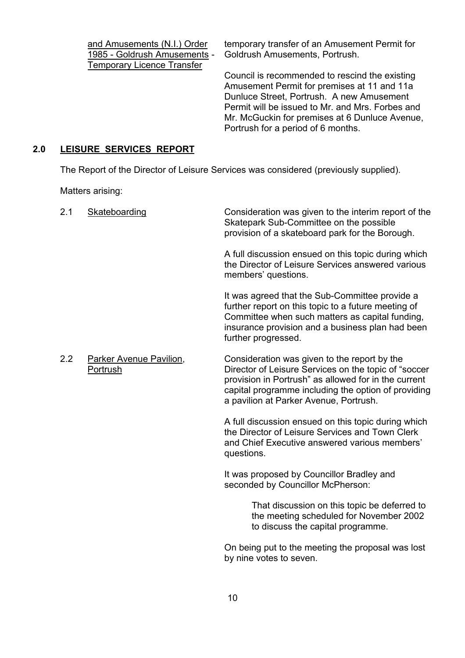Temporary Licence Transfer

and Amusements (N.I.) Order temporary transfer of an Amusement Permit for 1985 - Goldrush Amusements - Goldrush Amusements, Portrush.

> Council is recommended to rescind the existing Amusement Permit for premises at 11 and 11a Dunluce Street, Portrush. A new Amusement Permit will be issued to Mr. and Mrs. Forbes and Mr. McGuckin for premises at 6 Dunluce Avenue, Portrush for a period of 6 months.

#### **2.0 LEISURE SERVICES REPORT**

The Report of the Director of Leisure Services was considered (previously supplied).

Matters arising:

| 2.1 | Skateboarding                              | Consideration was given to the interim report of the<br>Skatepark Sub-Committee on the possible<br>provision of a skateboard park for the Borough.                                                                                                            |
|-----|--------------------------------------------|---------------------------------------------------------------------------------------------------------------------------------------------------------------------------------------------------------------------------------------------------------------|
|     |                                            | A full discussion ensued on this topic during which<br>the Director of Leisure Services answered various<br>members' questions.                                                                                                                               |
|     |                                            | It was agreed that the Sub-Committee provide a<br>further report on this topic to a future meeting of<br>Committee when such matters as capital funding,<br>insurance provision and a business plan had been<br>further progressed.                           |
| 2.2 | <b>Parker Avenue Pavilion,</b><br>Portrush | Consideration was given to the report by the<br>Director of Leisure Services on the topic of "soccer<br>provision in Portrush" as allowed for in the current<br>capital programme including the option of providing<br>a pavilion at Parker Avenue, Portrush. |
|     |                                            | A full discussion ensued on this topic during which<br>the Director of Leisure Services and Town Clerk<br>and Chief Executive answered various members'<br>questions.                                                                                         |
|     |                                            | It was proposed by Councillor Bradley and<br>seconded by Councillor McPherson:                                                                                                                                                                                |

 That discussion on this topic be deferred to the meeting scheduled for November 2002 to discuss the capital programme.

On being put to the meeting the proposal was lost by nine votes to seven.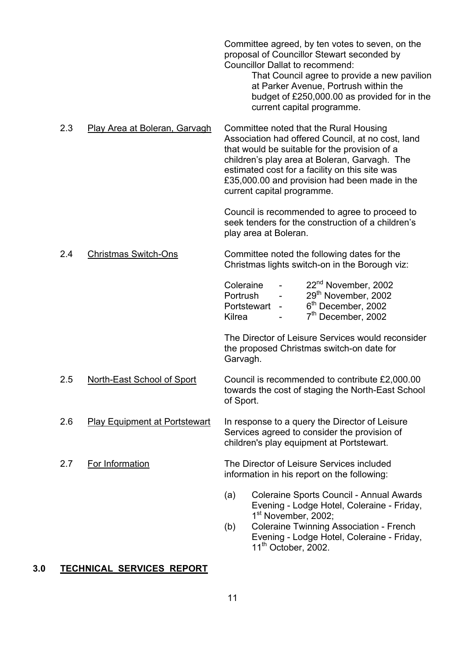|     |                               | Committee agreed, by ten votes to seven, on the<br>proposal of Councillor Stewart seconded by<br><b>Councillor Dallat to recommend:</b><br>That Council agree to provide a new pavilion<br>at Parker Avenue, Portrush within the<br>budget of £250,000.00 as provided for in the<br>current capital programme.                 |
|-----|-------------------------------|--------------------------------------------------------------------------------------------------------------------------------------------------------------------------------------------------------------------------------------------------------------------------------------------------------------------------------|
| 2.3 | Play Area at Boleran, Garvagh | Committee noted that the Rural Housing<br>Association had offered Council, at no cost, land<br>that would be suitable for the provision of a<br>children's play area at Boleran, Garvagh. The<br>estimated cost for a facility on this site was<br>£35,000.00 and provision had been made in the<br>current capital programme. |
|     |                               | Council is recommended to agree to proceed to<br>seek tenders for the construction of a children's<br>play area at Boleran.                                                                                                                                                                                                    |
| 2.4 | <b>Christmas Switch-Ons</b>   | Committee noted the following dates for the<br>Christmas lights switch-on in the Borough viz:                                                                                                                                                                                                                                  |
|     |                               | 22 <sup>nd</sup> November, 2002<br>Coleraine<br>29 <sup>th</sup> November, 2002<br>Portrush<br>6 <sup>th</sup> December, 2002<br>Portstewart -<br>7 <sup>th</sup> December, 2002<br>Kilrea                                                                                                                                     |
|     |                               | The Director of Leisure Services would reconsider<br>the proposed Christmas switch-on date for                                                                                                                                                                                                                                 |

Garvagh.

2.5 North-East School of Sport Council is recommended to contribute £2,000.00 towards the cost of staging the North-East School of Sport.

- 2.6 Play Equipment at Portstewart In response to a query the Director of Leisure Services agreed to consider the provision of children's play equipment at Portstewart.
- 2.7 For Information The Director of Leisure Services included information in his report on the following:
	- (a) Coleraine Sports Council Annual Awards Evening - Lodge Hotel, Coleraine - Friday, 1<sup>st</sup> November, 2002;
	- (b) Coleraine Twinning Association French Evening - Lodge Hotel, Coleraine - Friday,  $11<sup>th</sup>$  October, 2002.

# **3.0 TECHNICAL SERVICES REPORT**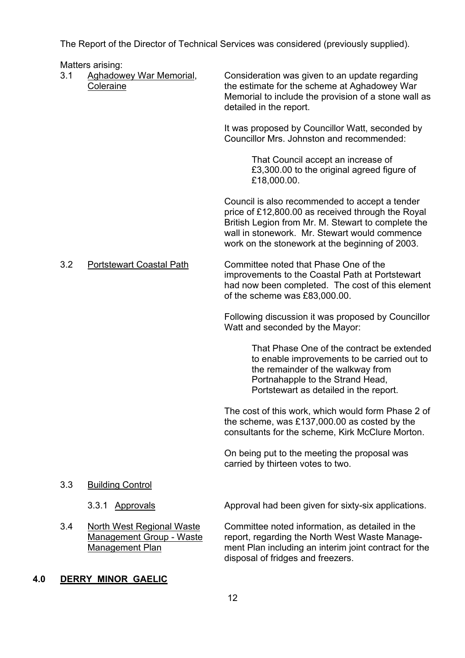The Report of the Director of Technical Services was considered (previously supplied).

Matters arising:

| 3.1 | יישונטוס טווטוויש.<br><b>Aghadowey War Memorial,</b><br>Coleraine                      | Consideration was given to an update regarding<br>the estimate for the scheme at Aghadowey War<br>Memorial to include the provision of a stone wall as<br>detailed in the report.                                                                             |
|-----|----------------------------------------------------------------------------------------|---------------------------------------------------------------------------------------------------------------------------------------------------------------------------------------------------------------------------------------------------------------|
|     |                                                                                        | It was proposed by Councillor Watt, seconded by<br>Councillor Mrs. Johnston and recommended:                                                                                                                                                                  |
|     |                                                                                        | That Council accept an increase of<br>£3,300.00 to the original agreed figure of<br>£18,000.00.                                                                                                                                                               |
|     |                                                                                        | Council is also recommended to accept a tender<br>price of £12,800.00 as received through the Royal<br>British Legion from Mr. M. Stewart to complete the<br>wall in stonework. Mr. Stewart would commence<br>work on the stonework at the beginning of 2003. |
| 3.2 | <b>Portstewart Coastal Path</b>                                                        | Committee noted that Phase One of the<br>improvements to the Coastal Path at Portstewart<br>had now been completed. The cost of this element<br>of the scheme was £83,000.00.                                                                                 |
|     |                                                                                        | Following discussion it was proposed by Councillor<br>Watt and seconded by the Mayor:                                                                                                                                                                         |
|     |                                                                                        | That Phase One of the contract be extended<br>to enable improvements to be carried out to<br>the remainder of the walkway from<br>Portnahapple to the Strand Head,<br>Portstewart as detailed in the report.                                                  |
|     |                                                                                        | The cost of this work, which would form Phase 2 of<br>the scheme, was £137,000.00 as costed by the<br>consultants for the scheme, Kirk McClure Morton.                                                                                                        |
|     |                                                                                        | On being put to the meeting the proposal was<br>carried by thirteen votes to two.                                                                                                                                                                             |
| 3.3 | <b>Building Control</b>                                                                |                                                                                                                                                                                                                                                               |
|     | 3.3.1<br><b>Approvals</b>                                                              | Approval had been given for sixty-six applications.                                                                                                                                                                                                           |
| 3.4 | <b>North West Regional Waste</b><br><b>Management Group - Waste</b><br>Management Plan | Committee noted information, as detailed in the<br>report, regarding the North West Waste Manage-<br>ment Plan including an interim joint contract for the<br>disposal of fridges and freezers.                                                               |

# **4.0 DERRY MINOR GAELIC**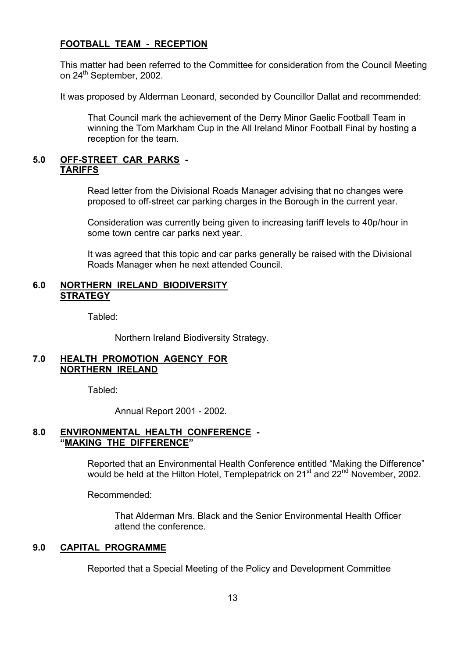#### **FOOTBALL TEAM - RECEPTION**

 This matter had been referred to the Committee for consideration from the Council Meeting on 24<sup>th</sup> September, 2002.

It was proposed by Alderman Leonard, seconded by Councillor Dallat and recommended:

 That Council mark the achievement of the Derry Minor Gaelic Football Team in winning the Tom Markham Cup in the All Ireland Minor Football Final by hosting a reception for the team.

#### **5.0 OFF-STREET CAR PARKS - TARIFFS**

 Read letter from the Divisional Roads Manager advising that no changes were proposed to off-street car parking charges in the Borough in the current year.

 Consideration was currently being given to increasing tariff levels to 40p/hour in some town centre car parks next year.

 It was agreed that this topic and car parks generally be raised with the Divisional Roads Manager when he next attended Council.

#### **6.0 NORTHERN IRELAND BIODIVERSITY STRATEGY**

Tabled:

Northern Ireland Biodiversity Strategy.

#### **7.0 HEALTH PROMOTION AGENCY FOR NORTHERN IRELAND**

Tabled:

Annual Report 2001 - 2002.

#### **8.0 ENVIRONMENTAL HEALTH CONFERENCE -**  *<u><b>''MAKING THE DIFFERENCE*</u>

Reported that an Environmental Health Conference entitled "Making the Difference" would be held at the Hilton Hotel, Templepatrick on 21<sup>st</sup> and 22<sup>nd</sup> November, 2002.

Recommended:

 That Alderman Mrs. Black and the Senior Environmental Health Officer attend the conference.

## **9.0 CAPITAL PROGRAMME**

Reported that a Special Meeting of the Policy and Development Committee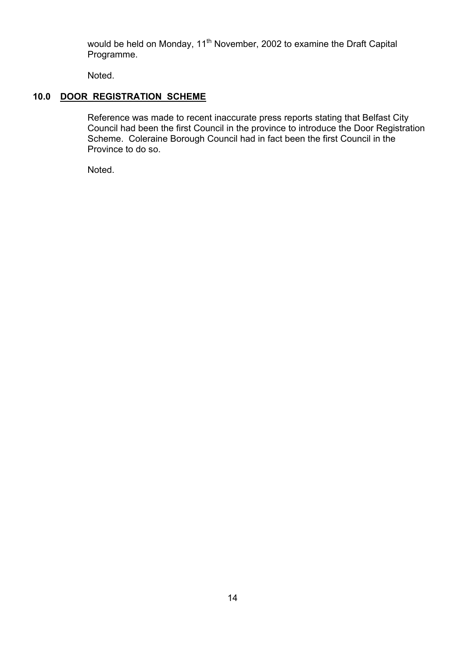would be held on Monday, 11<sup>th</sup> November, 2002 to examine the Draft Capital Programme.

Noted.

## **10.0 DOOR REGISTRATION SCHEME**

Reference was made to recent inaccurate press reports stating that Belfast City Council had been the first Council in the province to introduce the Door Registration Scheme. Coleraine Borough Council had in fact been the first Council in the Province to do so.

Noted.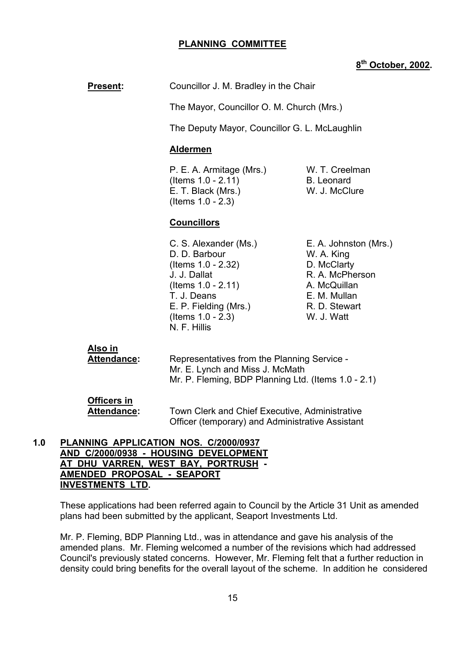#### **PLANNING COMMITTEE**

## **8th October, 2002.**

**Present:** Councillor J. M. Bradley in the Chair

The Mayor, Councillor O. M. Church (Mrs.)

The Deputy Mayor, Councillor G. L. McLaughlin

#### **Aldermen**

P. E. A. Armitage (Mrs.) W. T. Creelman (Items 1.0 - 2.11) B. Leonard E. T. Black (Mrs.) W. J. McClure (Items 1.0 - 2.3)

## **Councillors**

 C. S. Alexander (Ms.) E. A. Johnston (Mrs.) D. D. Barbour W. A. King (Items 1.0 - 2.32) D. McClarty J. J. Dallat R. A. McPherson  $($ ltems  $1.0 - 2.11)$  A. McQuillan T. J. Deans E. M. Mullan E. P. Fielding (Mrs.) R. D. Stewart (Items 1.0 - 2.3) W. J. Watt N. F. Hillis

**Also in**

 **Attendance:** Representatives from the Planning Service - Mr. E. Lynch and Miss J. McMath Mr. P. Fleming, BDP Planning Ltd. (Items 1.0 - 2.1)

**Officers in**

 **Attendance:** Town Clerk and Chief Executive, Administrative Officer (temporary) and Administrative Assistant

#### **1.0 PLANNING APPLICATION NOS. C/2000/0937 AND C/2000/0938 - HOUSING DEVELOPMENT AT DHU VARREN, WEST BAY, PORTRUSH - AMENDED PROPOSAL - SEAPORT INVESTMENTS LTD.**

These applications had been referred again to Council by the Article 31 Unit as amended plans had been submitted by the applicant, Seaport Investments Ltd.

 Mr. P. Fleming, BDP Planning Ltd., was in attendance and gave his analysis of the amended plans. Mr. Fleming welcomed a number of the revisions which had addressed Council's previously stated concerns. However, Mr. Fleming felt that a further reduction in density could bring benefits for the overall layout of the scheme. In addition he considered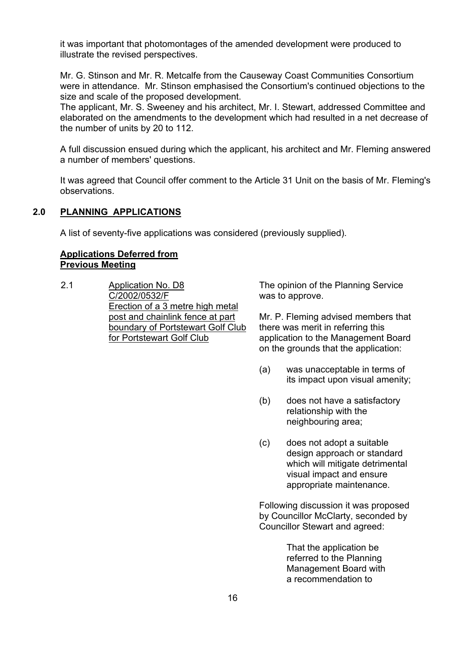it was important that photomontages of the amended development were produced to illustrate the revised perspectives.

 Mr. G. Stinson and Mr. R. Metcalfe from the Causeway Coast Communities Consortium were in attendance. Mr. Stinson emphasised the Consortium's continued objections to the size and scale of the proposed development.

The applicant, Mr. S. Sweeney and his architect, Mr. I. Stewart, addressed Committee and elaborated on the amendments to the development which had resulted in a net decrease of the number of units by 20 to 112.

 A full discussion ensued during which the applicant, his architect and Mr. Fleming answered a number of members' questions.

It was agreed that Council offer comment to the Article 31 Unit on the basis of Mr. Fleming's observations.

#### **2.0 PLANNING APPLICATIONS**

A list of seventy-five applications was considered (previously supplied).

#### **Applications Deferred from Previous Meeting**

2.1 Application No. D8 C/2002/0532/F Erection of a 3 metre high metal post and chainlink fence at part boundary of Portstewart Golf Club for Portstewart Golf Club

The opinion of the Planning Service was to approve.

Mr. P. Fleming advised members that there was merit in referring this application to the Management Board on the grounds that the application:

- (a) was unacceptable in terms of its impact upon visual amenity;
- (b) does not have a satisfactory relationship with the neighbouring area;
- (c) does not adopt a suitable design approach or standard which will mitigate detrimental visual impact and ensure appropriate maintenance.

Following discussion it was proposed by Councillor McClarty, seconded by Councillor Stewart and agreed:

> That the application be referred to the Planning Management Board with a recommendation to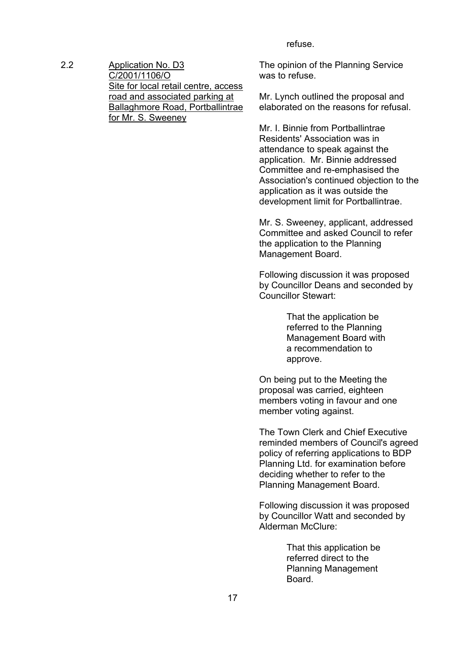refuse.

2.2 Application No. D3 C/2001/1106/O Site for local retail centre, access road and associated parking at Ballaghmore Road, Portballintrae for Mr. S. Sweeney

The opinion of the Planning Service was to refuse.

Mr. Lynch outlined the proposal and elaborated on the reasons for refusal.

Mr. I. Binnie from Portballintrae Residents' Association was in attendance to speak against the application. Mr. Binnie addressed Committee and re-emphasised the Association's continued objection to the application as it was outside the development limit for Portballintrae.

Mr. S. Sweeney, applicant, addressed Committee and asked Council to refer the application to the Planning Management Board.

Following discussion it was proposed by Councillor Deans and seconded by Councillor Stewart:

> That the application be referred to the Planning Management Board with a recommendation to approve.

On being put to the Meeting the proposal was carried, eighteen members voting in favour and one member voting against.

The Town Clerk and Chief Executive reminded members of Council's agreed policy of referring applications to BDP Planning Ltd. for examination before deciding whether to refer to the Planning Management Board.

Following discussion it was proposed by Councillor Watt and seconded by Alderman McClure:

> That this application be referred direct to the Planning Management Board.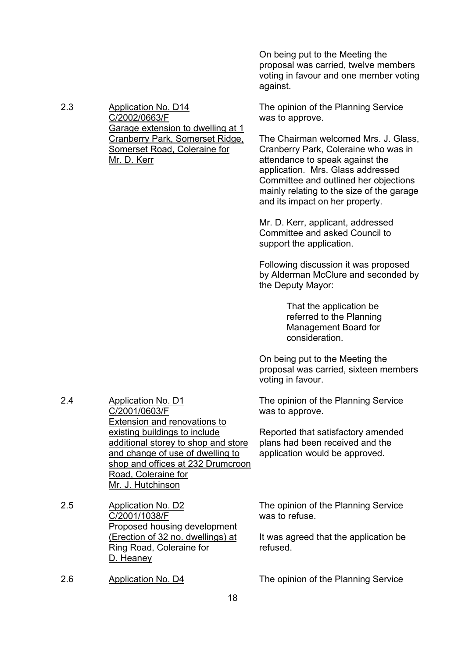On being put to the Meeting the proposal was carried, twelve members voting in favour and one member voting against.

The opinion of the Planning Service was to approve.

The Chairman welcomed Mrs. J. Glass, Cranberry Park, Coleraine who was in attendance to speak against the application. Mrs. Glass addressed Committee and outlined her objections mainly relating to the size of the garage and its impact on her property.

Mr. D. Kerr, applicant, addressed Committee and asked Council to support the application.

Following discussion it was proposed by Alderman McClure and seconded by the Deputy Mayor:

> That the application be referred to the Planning Management Board for consideration.

On being put to the Meeting the proposal was carried, sixteen members voting in favour.

The opinion of the Planning Service was to approve.

Reported that satisfactory amended plans had been received and the application would be approved.

The opinion of the Planning Service was to refuse.

It was agreed that the application be refused.

2.6 Application No. D4 The opinion of the Planning Service

2.3 Application No. D14 C/2002/0663/F Garage extension to dwelling at 1 Cranberry Park, Somerset Ridge, Somerset Road, Coleraine for Mr. D. Kerr

2.4 Application No. D1 C/2001/0603/F Extension and renovations to existing buildings to include additional storey to shop and store and change of use of dwelling to shop and offices at 232 Drumcroon Road, Coleraine for Mr. J. Hutchinson

2.5 Application No. D2 C/2001/1038/F Proposed housing development (Erection of 32 no. dwellings) at Ring Road, Coleraine for D. Heaney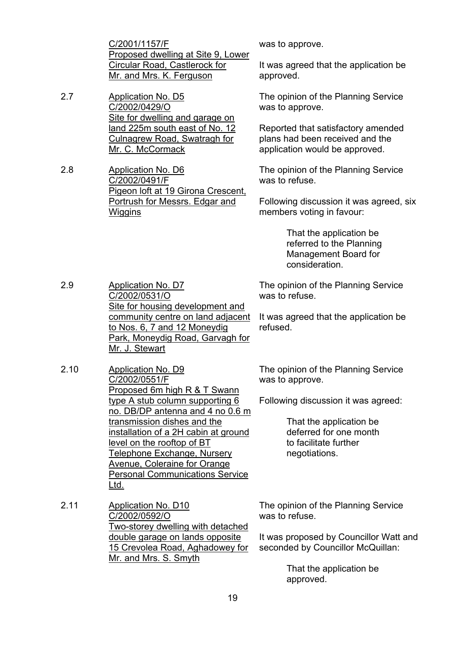C/2001/1157/F Proposed dwelling at Site 9, Lower Circular Road, Castlerock for Mr. and Mrs. K. Ferguson

2.7 Application No. D5 C/2002/0429/O Site for dwelling and garage on land 225m south east of No. 12 Culnagrew Road, Swatragh for Mr. C. McCormack

2.8 Application No. D6 C/2002/0491/F Pigeon loft at 19 Girona Crescent, Portrush for Messrs. Edgar and **Wiggins** 

was to approve.

It was agreed that the application be approved.

The opinion of the Planning Service was to approve.

Reported that satisfactory amended plans had been received and the application would be approved.

The opinion of the Planning Service was to refuse.

Following discussion it was agreed, six members voting in favour:

> That the application be referred to the Planning Management Board for consideration.

2.9 Application No. D7 C/2002/0531/O Site for housing development and community centre on land adjacent to Nos. 6, 7 and 12 Moneydig Park, Moneydig Road, Garvagh for

The opinion of the Planning Service was to refuse.

It was agreed that the application be refused.

The opinion of the Planning Service was to approve.

Following discussion it was agreed:

 That the application be deferred for one month to facilitate further negotiations.

The opinion of the Planning Service was to refuse.

It was proposed by Councillor Watt and seconded by Councillor McQuillan:

> That the application be approved.

Mr. J. Stewart

- 2.10 Application No. D9 C/2002/0551/F Proposed 6m high R & T Swann type A stub column supporting 6 no. DB/DP antenna and 4 no 0.6 m transmission dishes and the installation of a 2H cabin at ground level on the rooftop of BT Telephone Exchange, Nursery Avenue, Coleraine for Orange Personal Communications Service Ltd.
- 2.11 Application No. D10 C/2002/0592/O Two-storey dwelling with detached double garage on lands opposite 15 Crevolea Road, Aghadowey for Mr. and Mrs. S. Smyth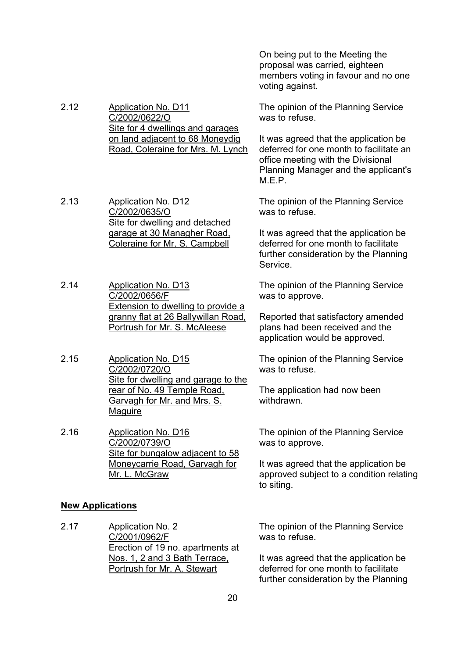On being put to the Meeting the proposal was carried, eighteen members voting in favour and no one voting against.

2.12 Application No. D11 C/2002/0622/O Site for 4 dwellings and garages on land adjacent to 68 Moneydig The opinion of the Planning Service was to refuse.

It was agreed that the application be deferred for one month to facilitate an office meeting with the Divisional Planning Manager and the applicant's M.E.P.

The opinion of the Planning Service was to refuse.

It was agreed that the application be deferred for one month to facilitate further consideration by the Planning Service.

The opinion of the Planning Service was to approve.

Reported that satisfactory amended plans had been received and the application would be approved.

The opinion of the Planning Service was to refuse.

The application had now been withdrawn.

The opinion of the Planning Service was to approve.

It was agreed that the application be approved subject to a condition relating to siting.

2.13 Application No. D12 C/2002/0635/O

Site for dwelling and detached garage at 30 Managher Road, Coleraine for Mr. S. Campbell

Road, Coleraine for Mrs. M. Lynch

2.14 Application No. D13 C/2002/0656/F Extension to dwelling to provide a granny flat at 26 Ballywillan Road, Portrush for Mr. S. McAleese

2.15 Application No. D15 C/2002/0720/O Site for dwelling and garage to the rear of No. 49 Temple Road, Garvagh for Mr. and Mrs. S. **Maguire** 

2.16 Application No. D16 C/2002/0739/O Site for bungalow adjacent to 58 Moneycarrie Road, Garvagh for Mr. L. McGraw

## **New Applications**

2.17 Application No. 2 C/2001/0962/F Erection of 19 no. apartments at Nos. 1, 2 and 3 Bath Terrace, Portrush for Mr. A. Stewart

The opinion of the Planning Service was to refuse.

It was agreed that the application be deferred for one month to facilitate further consideration by the Planning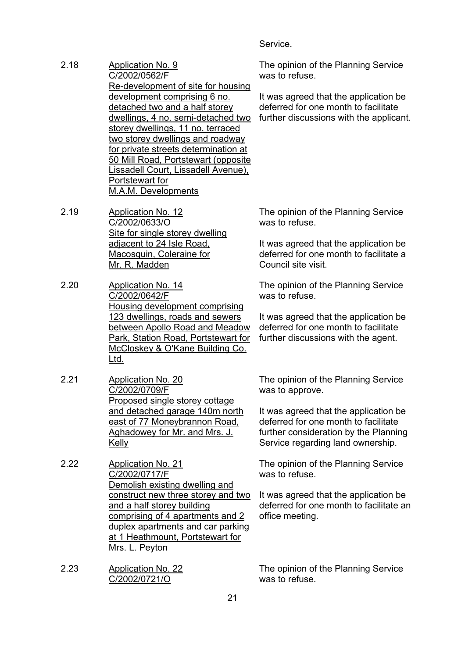**Service** 

- 2.18 Application No. 9 C/2002/0562/F Re-development of site for housing development comprising 6 no. detached two and a half storey dwellings, 4 no. semi-detached two storey dwellings, 11 no. terraced two storey dwellings and roadway for private streets determination at 50 Mill Road, Portstewart (opposite Lissadell Court, Lissadell Avenue), Portstewart for M.A.M. Developments
- 2.19 Application No. 12 C/2002/0633/O Site for single storey dwelling adjacent to 24 Isle Road, Macosquin, Coleraine for Mr. R. Madden
- 2.20 Application No. 14 C/2002/0642/F Housing development comprising 123 dwellings, roads and sewers between Apollo Road and Meadow Park, Station Road, Portstewart for McCloskey & O'Kane Building Co. Ltd.
- 2.21 Application No. 20 C/2002/0709/F Proposed single storey cottage and detached garage 140m north east of 77 Moneybrannon Road, Aghadowey for Mr. and Mrs. J. Kelly
- 2.22 Application No. 21 C/2002/0717/F Demolish existing dwelling and construct new three storey and two and a half storey building comprising of 4 apartments and 2 duplex apartments and car parking at 1 Heathmount, Portstewart for Mrs. L. Peyton
- 2.23 Application No. 22 C/2002/0721/O

The opinion of the Planning Service was to refuse.

It was agreed that the application be deferred for one month to facilitate further discussions with the applicant.

The opinion of the Planning Service was to refuse.

It was agreed that the application be deferred for one month to facilitate a Council site visit.

The opinion of the Planning Service was to refuse.

It was agreed that the application be deferred for one month to facilitate further discussions with the agent.

The opinion of the Planning Service was to approve.

It was agreed that the application be deferred for one month to facilitate further consideration by the Planning Service regarding land ownership.

The opinion of the Planning Service was to refuse.

It was agreed that the application be deferred for one month to facilitate an office meeting.

The opinion of the Planning Service was to refuse.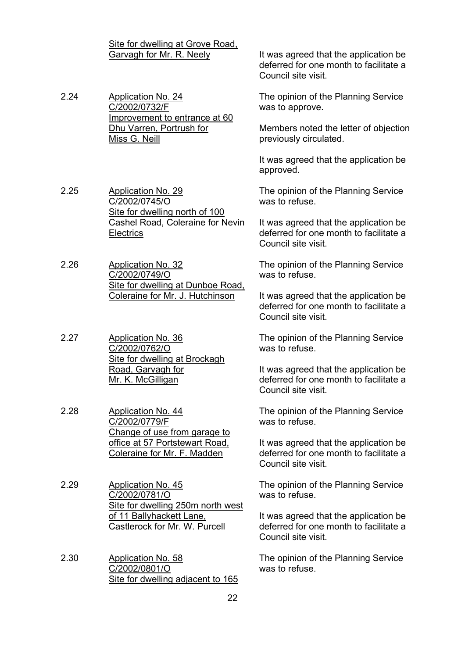|      | Site for dwelling at Grove Road,<br>Garvagh for Mr. R. Neely                                                       | It was agreed that the application be<br>deferred for one month to facilitate a<br>Council site visit. |
|------|--------------------------------------------------------------------------------------------------------------------|--------------------------------------------------------------------------------------------------------|
| 2.24 | <b>Application No. 24</b><br>C/2002/0732/F                                                                         | The opinion of the Planning Service<br>was to approve.                                                 |
|      | Improvement to entrance at 60<br>Dhu Varren, Portrush for<br>Miss G. Neill                                         | Members noted the letter of objection<br>previously circulated.                                        |
|      |                                                                                                                    | It was agreed that the application be<br>approved.                                                     |
| 2.25 | <b>Application No. 29</b><br>C/2002/0745/O<br>Site for dwelling north of 100                                       | The opinion of the Planning Service<br>was to refuse.                                                  |
|      | <b>Cashel Road, Coleraine for Nevin</b><br><b>Electrics</b>                                                        | It was agreed that the application be<br>deferred for one month to facilitate a<br>Council site visit. |
| 2.26 | <b>Application No. 32</b><br>C/2002/0749/O<br>Site for dwelling at Dunboe Road.<br>Coleraine for Mr. J. Hutchinson | The opinion of the Planning Service<br>was to refuse.                                                  |
|      |                                                                                                                    | It was agreed that the application be<br>deferred for one month to facilitate a<br>Council site visit. |
| 2.27 | <b>Application No. 36</b><br>C/2002/0762/O<br>Site for dwelling at Brockagh                                        | The opinion of the Planning Service<br>was to refuse.                                                  |
|      | Road, Garvagh for<br>Mr. K. McGilligan                                                                             | It was agreed that the application be<br>deferred for one month to facilitate a<br>Council site visit. |
| 2.28 | <b>Application No. 44</b><br>C/2002/0779/F<br>Change of use from garage to                                         | The opinion of the Planning Service<br>was to refuse.                                                  |
|      | office at 57 Portstewart Road,<br>Coleraine for Mr. F. Madden                                                      | It was agreed that the application be<br>deferred for one month to facilitate a<br>Council site visit. |
| 2.29 | <b>Application No. 45</b><br>C/2002/0781/O<br>Site for dwelling 250m north west                                    | The opinion of the Planning Service<br>was to refuse.                                                  |
|      | of 11 Ballyhackett Lane,<br><b>Castlerock for Mr. W. Purcell</b>                                                   | It was agreed that the application be<br>deferred for one month to facilitate a<br>Council site visit. |
| 2.30 | <b>Application No. 58</b><br>C/2002/0801/O<br>Site for dwelling adjacent to 165                                    | The opinion of the Planning Service<br>was to refuse.                                                  |
|      | 22                                                                                                                 |                                                                                                        |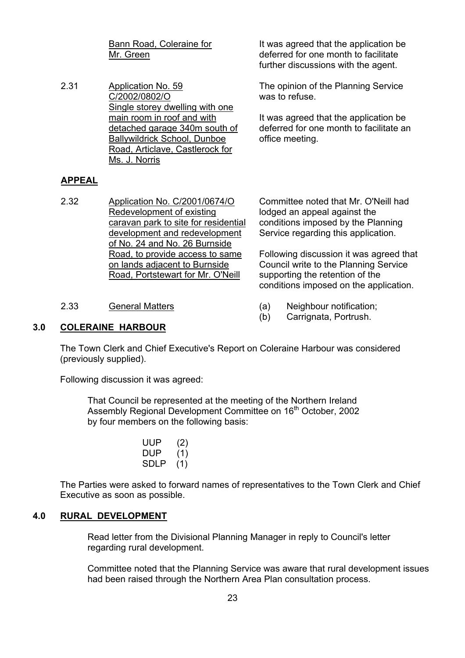Bann Road, Coleraine for Mr. Green

2.31 Application No. 59 C/2002/0802/O Single storey dwelling with one main room in roof and with detached garage 340m south of Ballywildrick School, Dunboe Road, Articlave, Castlerock for Ms. J. Norris

It was agreed that the application be deferred for one month to facilitate further discussions with the agent.

The opinion of the Planning Service was to refuse.

It was agreed that the application be deferred for one month to facilitate an office meeting.

#### **APPEAL**

2.32 Application No. C/2001/0674/O Redevelopment of existing caravan park to site for residential development and redevelopment of No. 24 and No. 26 Burnside Road, to provide access to same on lands adjacent to Burnside Road, Portstewart for Mr. O'Neill

Committee noted that Mr. O'Neill had lodged an appeal against the conditions imposed by the Planning Service regarding this application.

Following discussion it was agreed that Council write to the Planning Service supporting the retention of the conditions imposed on the application.

- 2.33 General Matters (a) Neighbour notification;
	- (b) Carrignata, Portrush.

#### **3.0 COLERAINE HARBOUR**

 The Town Clerk and Chief Executive's Report on Coleraine Harbour was considered (previously supplied).

Following discussion it was agreed:

 That Council be represented at the meeting of the Northern Ireland Assembly Regional Development Committee on 16<sup>th</sup> October, 2002 by four members on the following basis:

> UUP (2) DUP (1) SDLP (1)

 The Parties were asked to forward names of representatives to the Town Clerk and Chief Executive as soon as possible.

#### **4.0 RURAL DEVELOPMENT**

 Read letter from the Divisional Planning Manager in reply to Council's letter regarding rural development.

 Committee noted that the Planning Service was aware that rural development issues had been raised through the Northern Area Plan consultation process.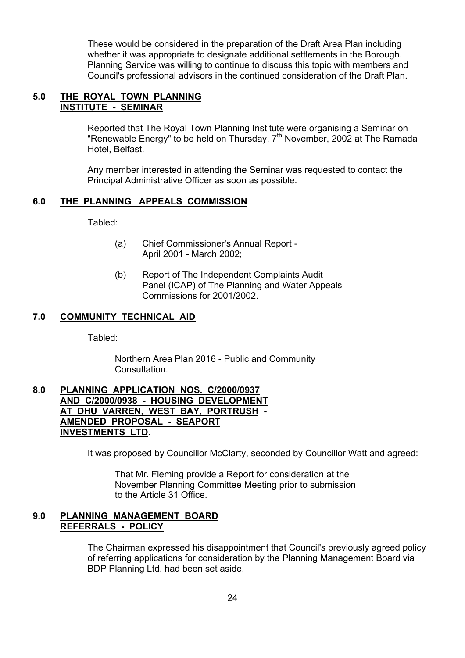These would be considered in the preparation of the Draft Area Plan including whether it was appropriate to designate additional settlements in the Borough. Planning Service was willing to continue to discuss this topic with members and Council's professional advisors in the continued consideration of the Draft Plan.

#### **5.0 THE ROYAL TOWN PLANNING INSTITUTE - SEMINAR**

 Reported that The Royal Town Planning Institute were organising a Seminar on "Renewable Energy" to be held on Thursday,  $7<sup>th</sup>$  November, 2002 at The Ramada Hotel, Belfast.

 Any member interested in attending the Seminar was requested to contact the Principal Administrative Officer as soon as possible.

## **6.0 THE PLANNING APPEALS COMMISSION**

Tabled:

- (a) Chief Commissioner's Annual Report April 2001 - March 2002;
- (b) Report of The Independent Complaints Audit Panel (ICAP) of The Planning and Water Appeals Commissions for 2001/2002.

## **7.0 COMMUNITY TECHNICAL AID**

Tabled:

 Northern Area Plan 2016 - Public and Community Consultation.

## **8.0 PLANNING APPLICATION NOS. C/2000/0937 AND C/2000/0938 - HOUSING DEVELOPMENT AT DHU VARREN, WEST BAY, PORTRUSH - AMENDED PROPOSAL - SEAPORT INVESTMENTS LTD.**

It was proposed by Councillor McClarty, seconded by Councillor Watt and agreed:

 That Mr. Fleming provide a Report for consideration at the November Planning Committee Meeting prior to submission to the Article 31 Office.

## **9.0 PLANNING MANAGEMENT BOARD REFERRALS - POLICY**

The Chairman expressed his disappointment that Council's previously agreed policy of referring applications for consideration by the Planning Management Board via BDP Planning Ltd. had been set aside.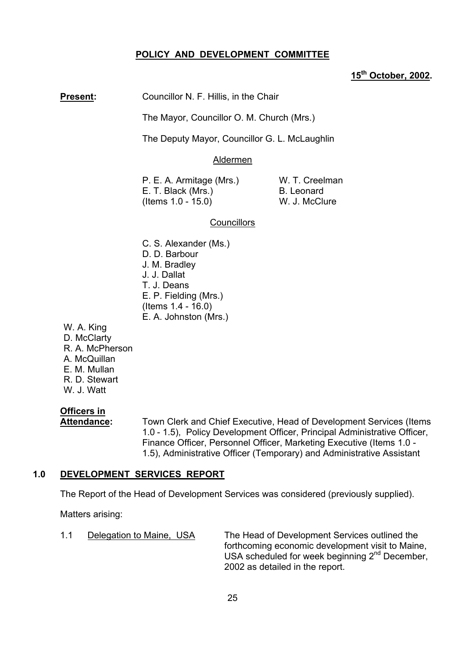#### **POLICY AND DEVELOPMENT COMMITTEE**

## **15th October, 2002.**

**Present:** Councillor N. F. Hillis, in the Chair

The Mayor, Councillor O. M. Church (Mrs.)

The Deputy Mayor, Councillor G. L. McLaughlin

#### Aldermen

P. E. A. Armitage (Mrs.) W. T. Creelman E. T. Black (Mrs.) B. Leonard<br>(Items 1.0 - 15.0) W. J. McClure  $($  Items 1.0 - 15.0)

#### **Councillors**

- C. S. Alexander (Ms.) D. D. Barbour J. M. Bradley J. J. Dallat T. J. Deans E. P. Fielding (Mrs.) (Items 1.4 - 16.0) E. A. Johnston (Mrs.)
- W. A. King D. McClarty R. A. McPherson A. McQuillan E. M. Mullan R. D. Stewart W. J. Watt

# **Officers in**

 **Attendance:** Town Clerk and Chief Executive, Head of Development Services (Items 1.0 - 1.5), Policy Development Officer, Principal Administrative Officer, Finance Officer, Personnel Officer, Marketing Executive (Items 1.0 - 1.5), Administrative Officer (Temporary) and Administrative Assistant

#### **1.0 DEVELOPMENT SERVICES REPORT**

The Report of the Head of Development Services was considered (previously supplied).

Matters arising:

 1.1 Delegation to Maine, USA The Head of Development Services outlined the forthcoming economic development visit to Maine, USA scheduled for week beginning 2<sup>nd</sup> December, 2002 as detailed in the report.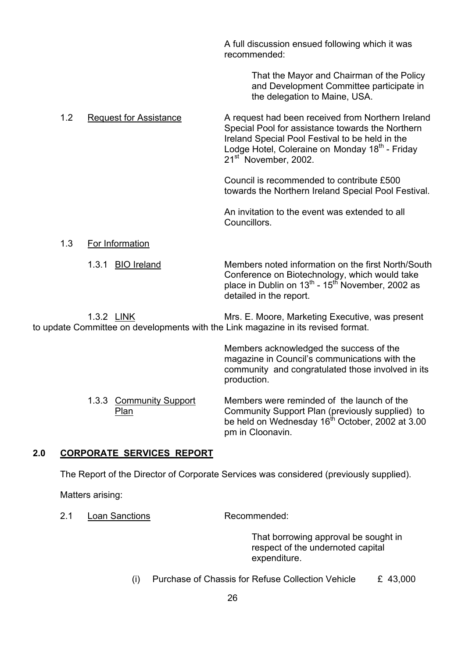A full discussion ensued following which it was recommended:

> That the Mayor and Chairman of the Policy and Development Committee participate in the delegation to Maine, USA.

1.2 Request for Assistance A request had been received from Northern Ireland Special Pool for assistance towards the Northern Ireland Special Pool Festival to be held in the Lodge Hotel, Coleraine on Monday  $18<sup>th</sup>$  - Friday 21<sup>st</sup> November, 2002.

> Council is recommended to contribute £500 towards the Northern Ireland Special Pool Festival.

 An invitation to the event was extended to all **Councillors** 

## 1.3 For Information

1.3.1 BIO Ireland Members noted information on the first North/South Conference on Biotechnology, which would take place in Dublin on  $13^{th}$  -  $15^{th}$  November, 2002 as detailed in the report.

1.3.2 LINK Mrs. E. Moore, Marketing Executive, was present to update Committee on developments with the Link magazine in its revised format.

> Members acknowledged the success of the magazine in Council's communications with the community and congratulated those involved in its production.

1.3.3 Community Support Members were reminded of the launch of the Plan **Plan** Community Support Plan (previously supplied) to be held on Wednesday  $16<sup>th</sup>$  October, 2002 at 3.00 pm in Cloonavin.

## **2.0 CORPORATE SERVICES REPORT**

The Report of the Director of Corporate Services was considered (previously supplied).

Matters arising:

2.1 Loan Sanctions Recommended:

That borrowing approval be sought in respect of the undernoted capital expenditure.

(i) Purchase of Chassis for Refuse Collection Vehicle  $E$  43,000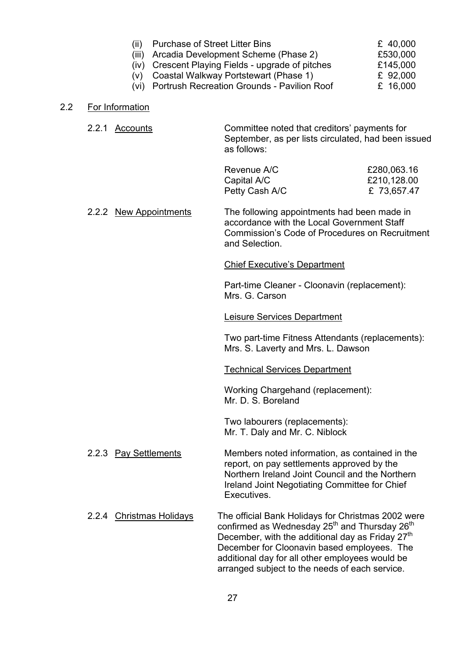| (11) | <b>Purchase of Street Litter Bins</b>             | £ 40,000 |
|------|---------------------------------------------------|----------|
|      | (iii) Arcadia Development Scheme (Phase 2)        | £530,000 |
|      | (iv) Crescent Playing Fields - upgrade of pitches | £145,000 |
|      | (v) Coastal Walkway Portstewart (Phase 1)         | £ 92,000 |
|      | (vi) Portrush Recreation Grounds - Pavilion Roof  | £ 16,000 |

#### 2.2 For Information

2.2.1 Accounts Committee noted that creditorsí payments for September, as per lists circulated, had been issued as follows:

| Revenue A/C    | £280,063.16 |
|----------------|-------------|
| Capital A/C    | £210,128.00 |
| Petty Cash A/C | £73,657.47  |

2.2.2 New Appointments The following appointments had been made in accordance with the Local Government Staff Commission's Code of Procedures on Recruitment and Selection.

#### **Chief Executive's Department**

Part-time Cleaner - Cloonavin (replacement): Mrs. G. Carson

#### Leisure Services Department

Two part-time Fitness Attendants (replacements): Mrs. S. Laverty and Mrs. L. Dawson

#### Technical Services Department

Working Chargehand (replacement): Mr. D. S. Boreland

Two labourers (replacements): Mr. T. Daly and Mr. C. Niblock

- 2.2.3 Pay Settlements Members noted information, as contained in the report, on pay settlements approved by the Northern Ireland Joint Council and the Northern Ireland Joint Negotiating Committee for Chief Executives.
- 2.2.4 Christmas Holidays The official Bank Holidays for Christmas 2002 were confirmed as Wednesday  $25<sup>th</sup>$  and Thursday  $26<sup>th</sup>$ December, with the additional day as Friday  $27<sup>th</sup>$  December for Cloonavin based employees. The additional day for all other employees would be arranged subject to the needs of each service.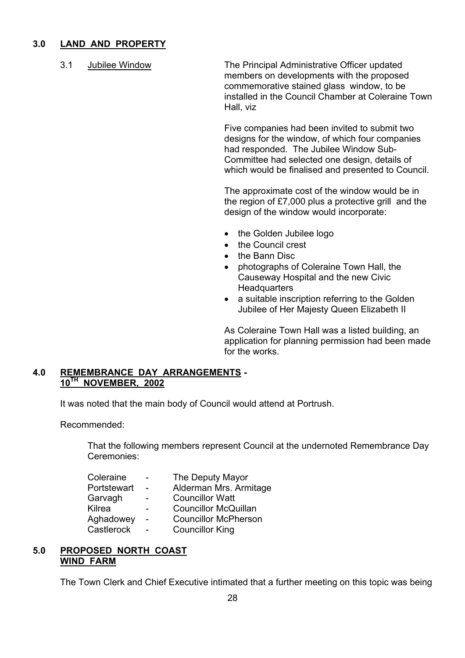## **3.0 LAND AND PROPERTY**

 3.1 Jubilee Window The Principal Administrative Officer updated members on developments with the proposed commemorative stained glass window, to be installed in the Council Chamber at Coleraine Town Hall, viz

> Five companies had been invited to submit two designs for the window, of which four companies had responded. The Jubilee Window Sub- Committee had selected one design, details of which would be finalised and presented to Council.

> The approximate cost of the window would be in the region of £7,000 plus a protective grill and the design of the window would incorporate:

- the Golden Jubilee logo
- the Council crest
- the Bann Disc
- photographs of Coleraine Town Hall, the Causeway Hospital and the new Civic **Headquarters**
- a suitable inscription referring to the Golden Jubilee of Her Majesty Queen Elizabeth II

As Coleraine Town Hall was a listed building, an application for planning permission had been made for the works.

#### **4.0 REMEMBRANCE DAY ARRANGEMENTS - 10TH NOVEMBER, 2002**

It was noted that the main body of Council would attend at Portrush.

Recommended:

 That the following members represent Council at the undernoted Remembrance Day Ceremonies:

| Coleraine   | $\overline{\phantom{0}}$ | The Deputy Mayor            |
|-------------|--------------------------|-----------------------------|
| Portstewart |                          | Alderman Mrs. Armitage      |
| Garvagh     |                          | <b>Councillor Watt</b>      |
| Kilrea      | $\qquad \qquad$          | <b>Councillor McQuillan</b> |
| Aghadowey   |                          | <b>Councillor McPherson</b> |
| Castlerock  |                          | <b>Councillor King</b>      |
|             |                          |                             |

#### **5.0 PROPOSED NORTH COAST WIND FARM**

The Town Clerk and Chief Executive intimated that a further meeting on this topic was being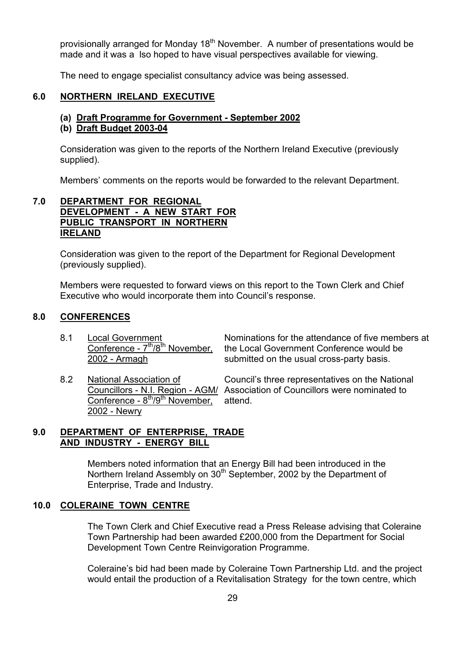provisionally arranged for Monday  $18<sup>th</sup>$  November. A number of presentations would be made and it was a lso hoped to have visual perspectives available for viewing.

The need to engage specialist consultancy advice was being assessed.

#### **6.0 NORTHERN IRELAND EXECUTIVE**

#### **(a) Draft Programme for Government - September 2002**

#### **(b) Draft Budget 2003-04**

Consideration was given to the reports of the Northern Ireland Executive (previously supplied).

Members' comments on the reports would be forwarded to the relevant Department.

#### **7.0 DEPARTMENT FOR REGIONAL DEVELOPMENT - A NEW START FOR PUBLIC TRANSPORT IN NORTHERN IRELAND**

 Consideration was given to the report of the Department for Regional Development (previously supplied).

Members were requested to forward views on this report to the Town Clerk and Chief Executive who would incorporate them into Council's response.

#### **8.0 CONFERENCES**

8.1 Local Government **Nominations for the attendance of five members at** Conference -  $7^{\text{th}}/8^{\text{th}}$  November, the Local Government Conference would be the Local Government Conference would be 2002 - Armagh submitted on the usual cross-party basis.

Conference -  $8<sup>th</sup>/9<sup>th</sup>$  November, attend. 2002 - Newry

8.2 National Association of Council's three representatives on the National Councillors - N.I. Region - AGM/ Association of Councillors were nominated to

## **9.0 DEPARTMENT OF ENTERPRISE, TRADE AND INDUSTRY - ENERGY BILL**

 Members noted information that an Energy Bill had been introduced in the Northern Ireland Assembly on 30<sup>th</sup> September, 2002 by the Department of Enterprise, Trade and Industry.

#### **10.0 COLERAINE TOWN CENTRE**

 The Town Clerk and Chief Executive read a Press Release advising that Coleraine Town Partnership had been awarded £200,000 from the Department for Social Development Town Centre Reinvigoration Programme.

Coleraine's bid had been made by Coleraine Town Partnership Ltd. and the project would entail the production of a Revitalisation Strategy for the town centre, which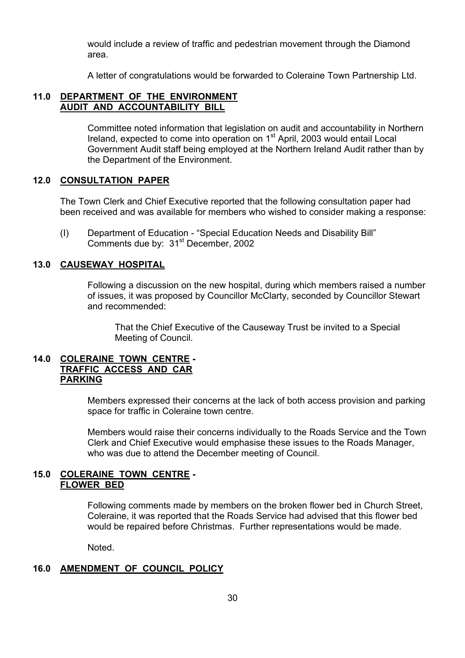would include a review of traffic and pedestrian movement through the Diamond area.

A letter of congratulations would be forwarded to Coleraine Town Partnership Ltd.

#### **11.0 DEPARTMENT OF THE ENVIRONMENT AUDIT AND ACCOUNTABILITY BILL**

 Committee noted information that legislation on audit and accountability in Northern Ireland, expected to come into operation on 1<sup>st</sup> April, 2003 would entail Local Government Audit staff being employed at the Northern Ireland Audit rather than by the Department of the Environment.

#### **12.0 CONSULTATION PAPER**

The Town Clerk and Chief Executive reported that the following consultation paper had been received and was available for members who wished to consider making a response:

(I) Department of Education - "Special Education Needs and Disability Bill" Comments due by: 31<sup>st</sup> December, 2002

#### **13.0 CAUSEWAY HOSPITAL**

 Following a discussion on the new hospital, during which members raised a number of issues, it was proposed by Councillor McClarty, seconded by Councillor Stewart and recommended:

 That the Chief Executive of the Causeway Trust be invited to a Special Meeting of Council.

## **14.0 COLERAINE TOWN CENTRE - TRAFFIC ACCESS AND CAR PARKING**

Members expressed their concerns at the lack of both access provision and parking space for traffic in Coleraine town centre.

Members would raise their concerns individually to the Roads Service and the Town Clerk and Chief Executive would emphasise these issues to the Roads Manager, who was due to attend the December meeting of Council.

#### **15.0 COLERAINE TOWN CENTRE - FLOWER BED**

 Following comments made by members on the broken flower bed in Church Street, Coleraine, it was reported that the Roads Service had advised that this flower bed would be repaired before Christmas. Further representations would be made.

Noted.

## **16.0 AMENDMENT OF COUNCIL POLICY**